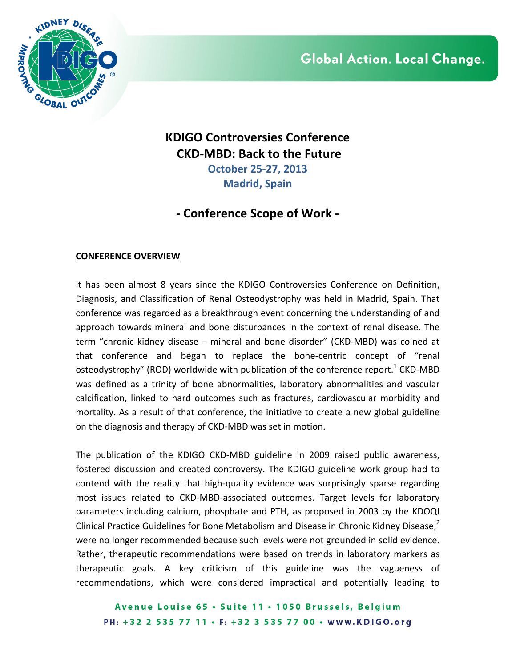

## **KDIGO Controversies Conference CKD-MBD: Back to the Future October 25-27, 2013 Madrid, Spain**

# **- Conference Scope of Work -**

### **CONFERENCE OVERVIEW**

It has been almost 8 years since the KDIGO Controversies Conference on Definition, Diagnosis, and Classification of Renal Osteodystrophy was held in Madrid, Spain. That conference was regarded as a breakthrough event concerning the understanding of and approach towards mineral and bone disturbances in the context of renal disease. The term "chronic kidney disease – mineral and bone disorder" (CKD-MBD) was coined at that conference and began to replace the bone-centric concept of "renal osteodystrophy" (ROD) worldwide with publication of the conference report.<sup>1</sup> CKD-MBD was defined as a trinity of bone abnormalities, laboratory abnormalities and vascular calcification, linked to hard outcomes such as fractures, cardiovascular morbidity and mortality. As a result of that conference, the initiative to create a new global guideline on the diagnosis and therapy of CKD-MBD was set in motion.

The publication of the KDIGO CKD-MBD guideline in 2009 raised public awareness, fostered discussion and created controversy. The KDIGO guideline work group had to contend with the reality that high-quality evidence was surprisingly sparse regarding most issues related to CKD-MBD-associated outcomes. Target levels for laboratory parameters including calcium, phosphate and PTH, as proposed in 2003 by the KDOQI Clinical Practice Guidelines for Bone Metabolism and Disease in Chronic Kidney Disease, $^2$ were no longer recommended because such levels were not grounded in solid evidence. Rather, therapeutic recommendations were based on trends in laboratory markers as therapeutic goals. A key criticism of this guideline was the vagueness of recommendations, which were considered impractical and potentially leading to

Avenue Louise 65 · Suite 11 · 1050 Brussels, Belgium PH: +32 2 535 77 11 · F: +32 3 535 77 00 · www.KDIGO.org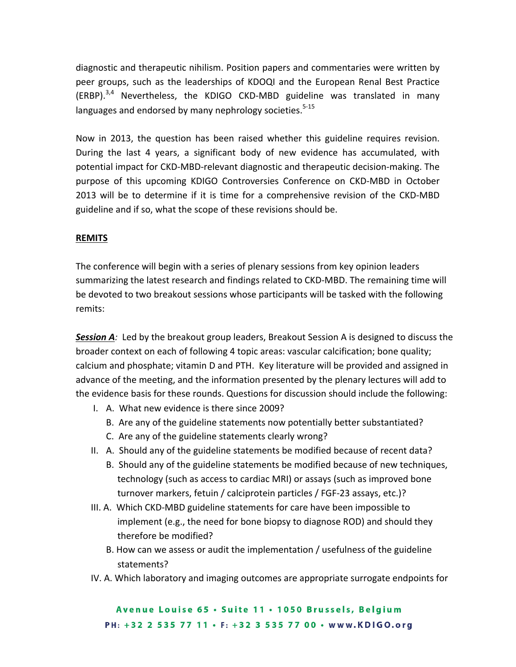diagnostic and therapeutic nihilism. Position papers and commentaries were written by peer groups, such as the leaderships of KDOQI and the European Renal Best Practice (ERBP). $^{3,4}$  Nevertheless, the KDIGO CKD-MBD guideline was translated in many languages and endorsed by many nephrology societies.<sup>5-15</sup>

Now in 2013, the question has been raised whether this guideline requires revision. During the last 4 years, a significant body of new evidence has accumulated, with potential impact for CKD-MBD-relevant diagnostic and therapeutic decision-making. The purpose of this upcoming KDIGO Controversies Conference on CKD-MBD in October 2013 will be to determine if it is time for a comprehensive revision of the CKD-MBD guideline and if so, what the scope of these revisions should be.

### **REMITS**

The conference will begin with a series of plenary sessions from key opinion leaders summarizing the latest research and findings related to CKD-MBD. The remaining time will be devoted to two breakout sessions whose participants will be tasked with the following remits: 

**Session A**: Led by the breakout group leaders, Breakout Session A is designed to discuss the broader context on each of following 4 topic areas: vascular calcification; bone quality; calcium and phosphate; vitamin D and PTH. Key literature will be provided and assigned in advance of the meeting, and the information presented by the plenary lectures will add to the evidence basis for these rounds. Questions for discussion should include the following:

- I. A. What new evidence is there since 2009?
	- B. Are any of the guideline statements now potentially better substantiated?
	- C. Are any of the guideline statements clearly wrong?
- II. A. Should any of the guideline statements be modified because of recent data?
	- B. Should any of the guideline statements be modified because of new techniques, technology (such as access to cardiac MRI) or assays (such as improved bone turnover markers, fetuin / calciprotein particles / FGF-23 assays, etc.)?
- III. A. Which CKD-MBD guideline statements for care have been impossible to implement (e.g., the need for bone biopsy to diagnose ROD) and should they therefore be modified?
	- B. How can we assess or audit the implementation / usefulness of the guideline statements?
- IV. A. Which laboratory and imaging outcomes are appropriate surrogate endpoints for

Avenue Louise 65 . Suite 11 . 1050 Brussels, Belgium PH: +32 2 535 77 11 · F: +32 3 535 77 00 · www.KDIGO.org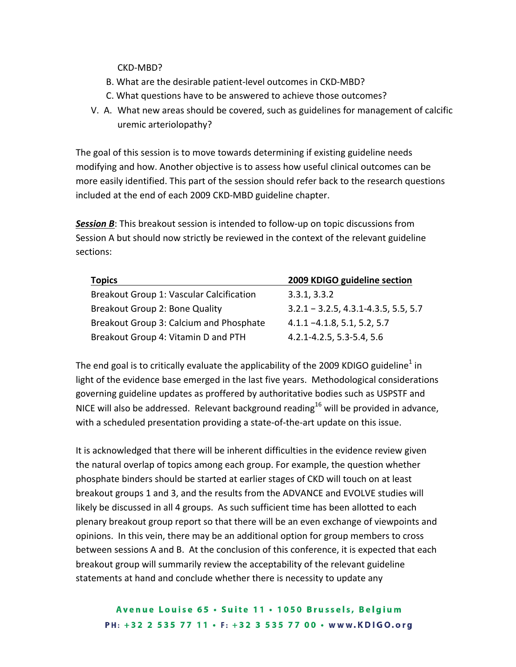CKD-MBD?

- B. What are the desirable patient-level outcomes in CKD-MBD?
- C. What questions have to be answered to achieve those outcomes?
- V. A. What new areas should be covered, such as guidelines for management of calcific uremic arteriolopathy?

The goal of this session is to move towards determining if existing guideline needs modifying and how. Another objective is to assess how useful clinical outcomes can be more easily identified. This part of the session should refer back to the research questions included at the end of each 2009 CKD-MBD guideline chapter.

**Session B**: This breakout session is intended to follow-up on topic discussions from Session A but should now strictly be reviewed in the context of the relevant guideline sections:

| <b>Topics</b>                            | 2009 KDIGO guideline section             |
|------------------------------------------|------------------------------------------|
| Breakout Group 1: Vascular Calcification | 3.3.1, 3.3.2                             |
| Breakout Group 2: Bone Quality           | $3.2.1 - 3.2.5, 4.3.1 - 4.3.5, 5.5, 5.7$ |
| Breakout Group 3: Calcium and Phosphate  | $4.1.1 - 4.1.8, 5.1, 5.2, 5.7$           |
| Breakout Group 4: Vitamin D and PTH      | 4.2.1-4.2.5, 5.3-5.4, 5.6                |

The end goal is to critically evaluate the applicability of the 2009 KDIGO guideline<sup>1</sup> in light of the evidence base emerged in the last five years. Methodological considerations governing guideline updates as proffered by authoritative bodies such as USPSTF and NICE will also be addressed. Relevant background reading<sup>16</sup> will be provided in advance, with a scheduled presentation providing a state-of-the-art update on this issue.

It is acknowledged that there will be inherent difficulties in the evidence review given the natural overlap of topics among each group. For example, the question whether phosphate binders should be started at earlier stages of CKD will touch on at least breakout groups 1 and 3, and the results from the ADVANCE and EVOLVE studies will likely be discussed in all 4 groups. As such sufficient time has been allotted to each plenary breakout group report so that there will be an even exchange of viewpoints and opinions. In this vein, there may be an additional option for group members to cross between sessions A and B. At the conclusion of this conference, it is expected that each breakout group will summarily review the acceptability of the relevant guideline statements at hand and conclude whether there is necessity to update any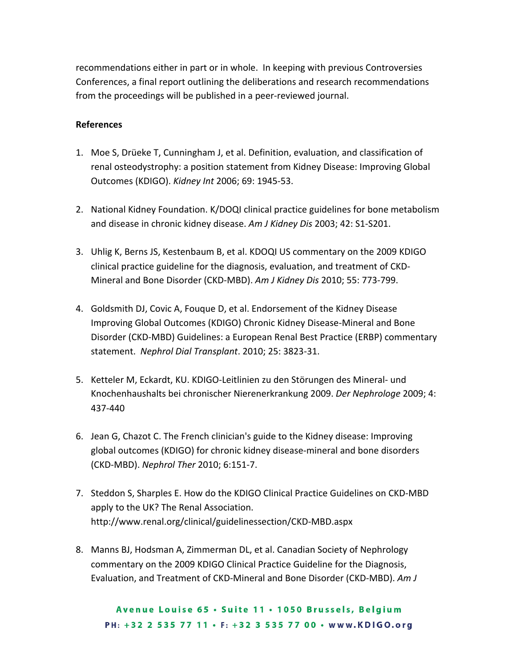recommendations either in part or in whole. In keeping with previous Controversies Conferences, a final report outlining the deliberations and research recommendations from the proceedings will be published in a peer-reviewed journal.

#### **References**

- 1. Moe S, Drüeke T, Cunningham J, et al. Definition, evaluation, and classification of renal osteodystrophy: a position statement from Kidney Disease: Improving Global Outcomes (KDIGO). *Kidney Int* 2006; 69: 1945-53.
- 2. National Kidney Foundation. K/DOQI clinical practice guidelines for bone metabolism and disease in chronic kidney disease. Am J Kidney Dis 2003; 42: S1-S201.
- 3. Uhlig K, Berns JS, Kestenbaum B, et al. KDOQI US commentary on the 2009 KDIGO clinical practice guideline for the diagnosis, evaluation, and treatment of CKD-Mineral and Bone Disorder (CKD-MBD). Am J Kidney Dis 2010; 55: 773-799.
- 4. Goldsmith DJ, Covic A, Fouque D, et al. Endorsement of the Kidney Disease Improving Global Outcomes (KDIGO) Chronic Kidney Disease-Mineral and Bone Disorder (CKD-MBD) Guidelines: a European Renal Best Practice (ERBP) commentary statement. Nephrol Dial Transplant. 2010; 25: 3823-31.
- 5. Ketteler M, Eckardt, KU. KDIGO-Leitlinien zu den Störungen des Mineral- und Knochenhaushalts bei chronischer Nierenerkrankung 2009. *Der Nephrologe* 2009; 4: 437-440
- 6. Jean G, Chazot C. The French clinician's guide to the Kidney disease: Improving global outcomes (KDIGO) for chronic kidney disease-mineral and bone disorders (CKD-MBD). *Nephrol Ther* 2010; 6:151-7.
- 7. Steddon S, Sharples E. How do the KDIGO Clinical Practice Guidelines on CKD-MBD apply to the UK? The Renal Association. http://www.renal.org/clinical/guidelinessection/CKD-MBD.aspx
- 8. Manns BJ, Hodsman A, Zimmerman DL, et al. Canadian Society of Nephrology commentary on the 2009 KDIGO Clinical Practice Guideline for the Diagnosis, Evaluation, and Treatment of CKD-Mineral and Bone Disorder (CKD-MBD). Am J

Avenue Louise 65 . Suite 11 . 1050 Brussels, Belgium PH: +32 2 535 77 11 · F: +32 3 535 77 00 · www.KDIGO.org